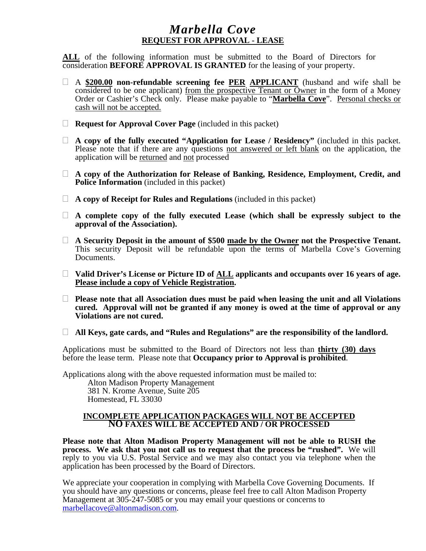#### *Marbella Cove*  **REQUEST FOR APPROVAL - LEASE**

**ALL** of the following information must be submitted to the Board of Directors for consideration **BEFORE APPROVAL IS GRANTED** for the leasing of your property.

- A **\$200.00 non-refundable screening fee PER APPLICANT** (husband and wife shall be considered to be one applicant) from the prospective Tenant or Owner in the form of a Money Order or Cashier's Check only. Please make payable to "**Marbella Cove**". Personal checks or cash will not be accepted.
- **Request for Approval Cover Page** (included in this packet)
- **A copy of the fully executed "Application for Lease / Residency"** (included in this packet. Please note that if there are any questions not answered or left blank on the application, the application will be returned and not processed
- **A copy of the Authorization for Release of Banking, Residence, Employment, Credit, and Police Information** (included in this packet)
- **A copy of Receipt for Rules and Regulations** (included in this packet)
- **A complete copy of the fully executed Lease (which shall be expressly subject to the approval of the Association).**
- **A Security Deposit in the amount of \$500 made by the Owner not the Prospective Tenant.**  This security Deposit will be refundable upon the terms of Marbella Cove's Governing Documents.
- □ Valid Driver's License or Picture ID of <u>ALL</u> applicants and occupants over 16 years of age. **Please include a copy of Vehicle Registration.**
- **Please note that all Association dues must be paid when leasing the unit and all Violations cured. Approval will not be granted if any money is owed at the time of approval or any Violations are not cured.**
- **All Keys, gate cards, and "Rules and Regulations" are the responsibility of the landlord.**

Applications must be submitted to the Board of Directors not less than **thirty (30) days** before the lease term. Please note that **Occupancy prior to Approval is prohibited**.

Applications along with the above requested information must be mailed to:

Alton Madison Property Management 381 N. Krome Avenue, Suite 205 Homestead, FL 33030

#### **INCOMPLETE APPLICATION PACKAGES WILL NOT BE ACCEPTED NO FAXES WILL BE ACCEPTED AND / OR PROCESSED**

**Please note that Alton Madison Property Management will not be able to RUSH the process. We ask that you not call us to request that the process be "rushed".** We will reply to you via U.S. Postal Service and we may also contact you via telephone when the application has been processed by the Board of Directors.

We appreciate your cooperation in complying with Marbella Cove Governing Documents. If you should have any questions or concerns, please feel free to call Alton Madison Property Management at 305-247-5085 or you may email your questions or concerns to marbellacove@altonmadison.com.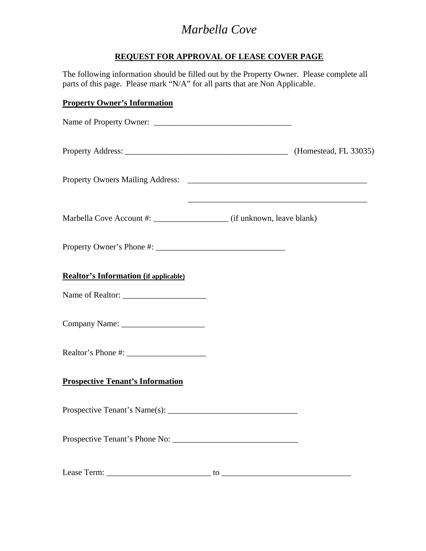#### **REQUEST FOR APPROVAL OF LEASE COVER PAGE**

The following information should be filled out by the Property Owner. Please complete all parts of this page. Please mark "N/A" for all parts that are Non Applicable.

#### **Property Owner's Information**

| <b>Realtor's Information (if applicable)</b> |                             |  |
|----------------------------------------------|-----------------------------|--|
|                                              |                             |  |
|                                              |                             |  |
|                                              |                             |  |
| <b>Prospective Tenant's Information</b>      |                             |  |
|                                              |                             |  |
|                                              |                             |  |
|                                              | to $\overline{\phantom{a}}$ |  |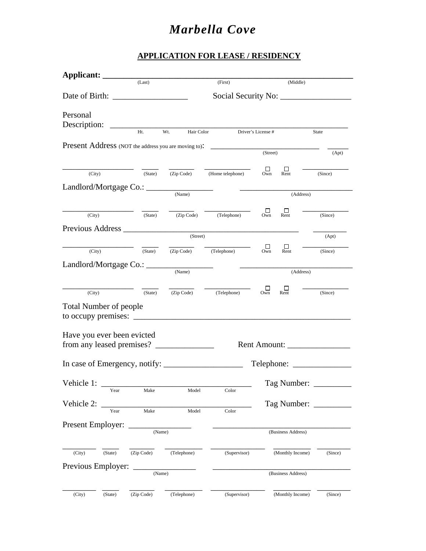#### **APPLICATION FOR LEASE / RESIDENCY**

| Applicant: _______                                                                      |            |             |                                                           |                      |                    |         |
|-----------------------------------------------------------------------------------------|------------|-------------|-----------------------------------------------------------|----------------------|--------------------|---------|
|                                                                                         | (Last)     |             | (First)                                                   |                      | (Middle)           |         |
|                                                                                         |            |             |                                                           |                      |                    |         |
| Personal                                                                                |            |             |                                                           |                      |                    |         |
| Description:                                                                            |            |             |                                                           |                      |                    |         |
|                                                                                         | Ht.        | Wt.         | Hair Color Driver's License #                             |                      |                    | State   |
| <b>Present Address</b> (NOT the address you are moving to): ___________________________ |            |             |                                                           |                      |                    |         |
|                                                                                         |            |             |                                                           | (Street)             |                    | (Apt)   |
| (City)                                                                                  | (State)    | (Zip Code)  | (Home telephone)                                          | $\Box$<br>Own        | Ш<br>Rent          | (Since) |
|                                                                                         |            |             |                                                           |                      |                    |         |
|                                                                                         |            | (Name)      |                                                           |                      | (Address)          |         |
|                                                                                         |            |             |                                                           |                      |                    |         |
| (City)                                                                                  | (State)    |             | (Zip Code) (Telephone)                                    | $\Box$<br>Own        | ப<br>Rent          | (Since) |
|                                                                                         |            |             |                                                           |                      |                    |         |
|                                                                                         |            | (Street)    |                                                           |                      |                    | (Apt)   |
| (City)                                                                                  |            |             | $(\text{State})$ $(\text{Zip Code})$ $(\text{Telephone})$ | $\Box$<br>Own        | $\Box$<br>Rent     | (Since) |
| Landlord/Mortgage Co.: ___                                                              |            |             |                                                           |                      |                    |         |
|                                                                                         |            | (Name)      |                                                           |                      | (Address)          |         |
| (City)                                                                                  | (State)    |             | $\overline{(Zip Code)}$ $\overline{(Telephone)}$          | □<br>O <sub>wn</sub> | ш<br>Rent          | (Since) |
|                                                                                         |            |             |                                                           |                      |                    |         |
| <b>Total Number of people</b><br>to occupy premises: $\_\_$                             |            |             |                                                           |                      |                    |         |
|                                                                                         |            |             |                                                           |                      |                    |         |
| Have you ever been evicted                                                              |            |             |                                                           |                      |                    |         |
|                                                                                         |            |             |                                                           |                      |                    |         |
|                                                                                         |            |             |                                                           |                      |                    |         |
|                                                                                         |            |             |                                                           |                      |                    |         |
| Vehicle 1:                                                                              |            |             |                                                           |                      | Tag Number: _      |         |
| Year                                                                                    | Make       | Model       | Color                                                     |                      |                    |         |
| Vehicle 2:<br>Year                                                                      | Make       | Model       | Color                                                     |                      | Tag Number:        |         |
|                                                                                         |            |             |                                                           |                      |                    |         |
| Present Employer:                                                                       | (Name)     |             |                                                           |                      | (Business Address) |         |
|                                                                                         |            |             |                                                           |                      |                    |         |
| (City)<br>(State)                                                                       | (Zip Code) | (Telephone) | (Supervisor)                                              |                      | (Monthly Income)   | (Since) |
| Previous Employer:                                                                      |            |             |                                                           |                      |                    |         |
|                                                                                         | (Name)     |             |                                                           |                      | (Business Address) |         |
|                                                                                         |            |             |                                                           |                      |                    |         |
| (City)<br>(State)                                                                       | (Zip Code) | (Telephone) | (Supervisor)                                              |                      | (Monthly Income)   | (Since) |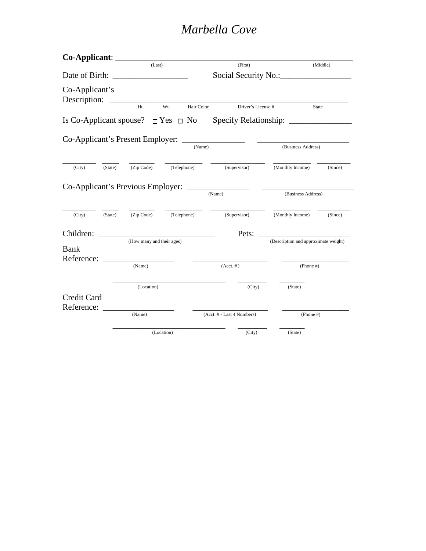| Co-Applicant:                                      |         |                                                              |             |                            |                   |                                      |          |
|----------------------------------------------------|---------|--------------------------------------------------------------|-------------|----------------------------|-------------------|--------------------------------------|----------|
|                                                    |         | (Last)                                                       |             |                            | (First)           |                                      | (Middle) |
| Date of Birth:                                     |         |                                                              |             |                            |                   |                                      |          |
| Co-Applicant's<br>Description:                     |         | $Ht.$ Wt.                                                    | Hair Color  |                            | Driver's License# |                                      | State    |
| Is Co-Applicant spouse? $\Box$ Yes $\Box$ No       |         |                                                              |             |                            |                   |                                      |          |
| Co-Applicant's Present Employer: _________________ |         |                                                              |             | (Name)                     |                   | (Business Address)                   |          |
|                                                    |         |                                                              |             |                            |                   |                                      |          |
| (City)                                             |         | $\overline{\text{ (State)}}$ $\overline{\text{ (Zip Code)}}$ | (Telephone) |                            | (Supervisor)      | (Monthly Income)                     | (Since)  |
| Co-Applicant's Previous Employer:                  |         |                                                              |             | (Name)                     |                   | (Business Address)                   |          |
| (City)                                             | (State) | (Zip Code)                                                   | (Telephone) | (Supervisor)               |                   | (Monthly Income)                     | (Since)  |
| Children:                                          |         |                                                              |             |                            | Pets:             |                                      |          |
| Bank<br>Reference:                                 |         | (How many and their ages)                                    |             |                            |                   | (Description and approximate weight) |          |
|                                                    |         | (Name)                                                       |             | $(Acct. \#)$               |                   | $(Phone \#)$                         |          |
| Credit Card                                        |         | (Location)                                                   |             |                            | (City)            | (State)                              |          |
| Reference:                                         |         | (Name)                                                       |             | (Acct. # - Last 4 Numbers) |                   | $(Phone \#)$                         |          |
|                                                    |         |                                                              | (Location)  |                            | (City)            | (State)                              |          |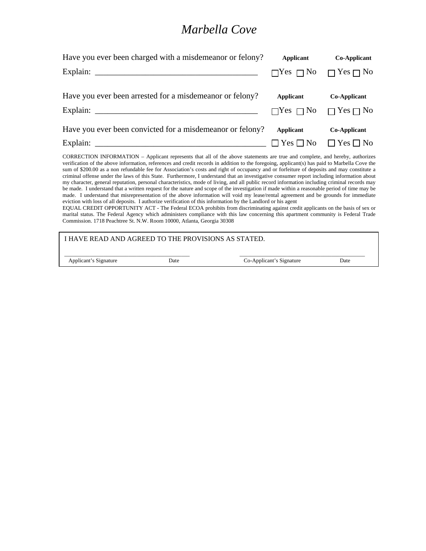| Have you ever been charged with a misdemean or felony?   | Applicant | Co-Applicant                              |
|----------------------------------------------------------|-----------|-------------------------------------------|
|                                                          |           | $\Box$ Yes $\Box$ No $\Box$ Yes $\Box$ No |
| Have you ever been arrested for a misdemeanor or felony? | Applicant | Co-Applicant                              |
|                                                          |           | $\Box$ Yes $\Box$ No $\Box$ Yes $\Box$ No |
| Have you ever been convicted for a misdemean or felony?  | Applicant | Co-Applicant                              |
|                                                          |           | $\Box$ Yes $\Box$ No $\Box$ Yes $\Box$ No |

CORRECTION INFORMATION – Applicant represents that all of the above statements are true and complete, and hereby, authorizes verification of the above information, references and credit records in addition to the foregoing, applicant(s) has paid to Marbella Cove the sum of \$200.00 as a non refundable fee for Association's costs and right of occupancy and or forfeiture of deposits and may constitute a criminal offense under the laws of this State. Furthermore, I understand that an investigative consumer report including information about my character, general reputation, personal characteristics, mode of living, and all public record information including criminal records may be made. I understand that a written request for the nature and scope of the investigation if made within a reasonable period of time may be made. I understand that misrepresentation of the above information will void my lease/rental agreement and be grounds for immediate eviction with loss of all deposits. I authorize verification of this information by the Landlord or his agent

EQUAL CREDIT OPPORTUNITY ACT - The Federal ECOA prohibits from discriminating against credit applicants on the basis of sex or marital status. The Federal Agency which administers compliance with this law concerning this apartment community is Federal Trade Commission. 1718 Peachtree St. N.W. Room 10000, Atlanta, Georgia 30308

| I HAVE READ AND AGREED TO THE PROVISIONS AS STATED. |      |                          |      |
|-----------------------------------------------------|------|--------------------------|------|
| Applicant's Signature                               | Date | Co-Applicant's Signature | Date |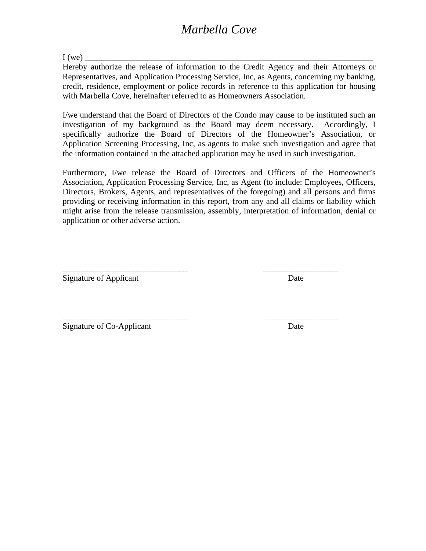$I (we)$ 

Hereby authorize the release of information to the Credit Agency and their Attorneys or Representatives, and Application Processing Service, Inc, as Agents, concerning my banking, credit, residence, employment or police records in reference to this application for housing with Marbella Cove, hereinafter referred to as Homeowners Association.

I/we understand that the Board of Directors of the Condo may cause to be instituted such an investigation of my background as the Board may deem necessary. Accordingly, I specifically authorize the Board of Directors of the Homeowner's Association, or Application Screening Processing, Inc, as agents to make such investigation and agree that the information contained in the attached application may be used in such investigation.

Furthermore, I/we release the Board of Directors and Officers of the Homeowner's Association, Application Processing Service, Inc, as Agent (to include: Employees, Officers, Directors, Brokers, Agents, and representatives of the foregoing) and all persons and firms providing or receiving information in this report, from any and all claims or liability which might arise from the release transmission, assembly, interpretation of information, denial or application or other adverse action.

\_\_\_\_\_\_\_\_\_\_\_\_\_\_\_\_\_\_\_\_\_\_\_\_\_\_\_\_\_\_ \_\_\_\_\_\_\_\_\_\_\_\_\_\_\_\_\_\_

\_\_\_\_\_\_\_\_\_\_\_\_\_\_\_\_\_\_\_\_\_\_\_\_\_\_\_\_\_\_ \_\_\_\_\_\_\_\_\_\_\_\_\_\_\_\_\_\_

Signature of Applicant Date

Signature of Co-Applicant Date